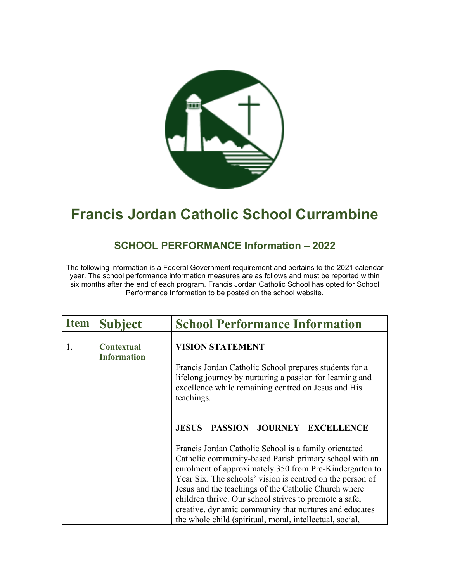

## **Francis Jordan Catholic School Currambine**

## **SCHOOL PERFORMANCE Information – 2022**

The following information is a Federal Government requirement and pertains to the 2021 calendar year. The school performance information measures are as follows and must be reported within six months after the end of each program. Francis Jordan Catholic School has opted for School Performance Information to be posted on the school website.

| <b>Item</b> | <b>Subject</b>                          | <b>School Performance Information</b>                                                                                                                                                                                                                                                                                                                                                                                                                                                                                         |
|-------------|-----------------------------------------|-------------------------------------------------------------------------------------------------------------------------------------------------------------------------------------------------------------------------------------------------------------------------------------------------------------------------------------------------------------------------------------------------------------------------------------------------------------------------------------------------------------------------------|
| 1.          | <b>Contextual</b><br><b>Information</b> | <b>VISION STATEMENT</b><br>Francis Jordan Catholic School prepares students for a<br>lifelong journey by nurturing a passion for learning and<br>excellence while remaining centred on Jesus and His<br>teachings.                                                                                                                                                                                                                                                                                                            |
|             |                                         | PASSION JOURNEY EXCELLENCE<br><b>JESUS</b><br>Francis Jordan Catholic School is a family orientated<br>Catholic community-based Parish primary school with an<br>enrolment of approximately 350 from Pre-Kindergarten to<br>Year Six. The schools' vision is centred on the person of<br>Jesus and the teachings of the Catholic Church where<br>children thrive. Our school strives to promote a safe,<br>creative, dynamic community that nurtures and educates<br>the whole child (spiritual, moral, intellectual, social, |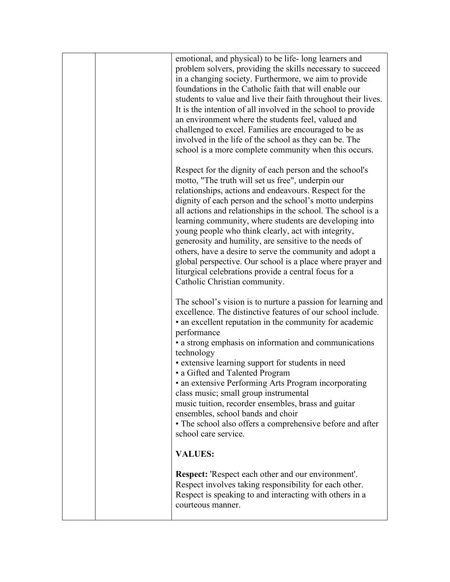| emotional, and physical) to be life-long learners and<br>problem solvers, providing the skills necessary to succeed<br>in a changing society. Furthermore, we aim to provide<br>foundations in the Catholic faith that will enable our<br>students to value and live their faith throughout their lives.<br>It is the intention of all involved in the school to provide<br>an environment where the students feel, valued and<br>challenged to excel. Families are encouraged to be as<br>involved in the life of the school as they can be. The<br>school is a more complete community when this occurs.                                                                                       |
|--------------------------------------------------------------------------------------------------------------------------------------------------------------------------------------------------------------------------------------------------------------------------------------------------------------------------------------------------------------------------------------------------------------------------------------------------------------------------------------------------------------------------------------------------------------------------------------------------------------------------------------------------------------------------------------------------|
| Respect for the dignity of each person and the school's<br>motto, "The truth will set us free", underpin our<br>relationships, actions and endeavours. Respect for the<br>dignity of each person and the school's motto underpins<br>all actions and relationships in the school. The school is a<br>learning community, where students are developing into<br>young people who think clearly, act with integrity,<br>generosity and humility, are sensitive to the needs of<br>others, have a desire to serve the community and adopt a<br>global perspective. Our school is a place where prayer and<br>liturgical celebrations provide a central focus for a<br>Catholic Christian community. |
| The school's vision is to nurture a passion for learning and<br>excellence. The distinctive features of our school include.<br>• an excellent reputation in the community for academic<br>performance<br>• a strong emphasis on information and communications<br>technology<br>• extensive learning support for students in need<br>• a Gifted and Talented Program<br>• an extensive Performing Arts Program incorporating<br>class music; small group instrumental<br>music tuition, recorder ensembles, brass and guitar<br>ensembles, school bands and choir<br>• The school also offers a comprehensive before and after<br>school care service.                                           |
| <b>VALUES:</b>                                                                                                                                                                                                                                                                                                                                                                                                                                                                                                                                                                                                                                                                                   |
| <b>Respect:</b> 'Respect each other and our environment'.<br>Respect involves taking responsibility for each other.<br>Respect is speaking to and interacting with others in a<br>courteous manner.                                                                                                                                                                                                                                                                                                                                                                                                                                                                                              |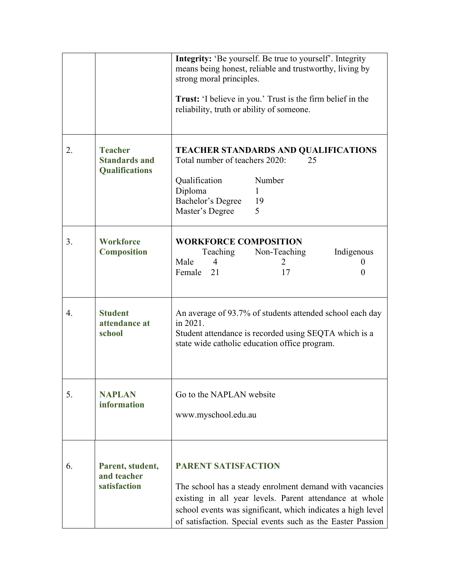|    |                                                                 | <b>Integrity:</b> 'Be yourself. Be true to yourself'. Integrity<br>means being honest, reliable and trustworthy, living by<br>strong moral principles.<br><b>Trust:</b> 'I believe in you.' Trust is the firm belief in the<br>reliability, truth or ability of someone.      |
|----|-----------------------------------------------------------------|-------------------------------------------------------------------------------------------------------------------------------------------------------------------------------------------------------------------------------------------------------------------------------|
| 2. | <b>Teacher</b><br><b>Standards and</b><br><b>Qualifications</b> | <b>TEACHER STANDARDS AND QUALIFICATIONS</b><br>Total number of teachers 2020:<br>25<br>Number<br>Qualification<br>Diploma<br>1<br>Bachelor's Degree<br>19<br>5<br>Master's Degree                                                                                             |
| 3. | <b>Workforce</b><br><b>Composition</b>                          | <b>WORKFORCE COMPOSITION</b><br>Teaching<br>Non-Teaching<br>Indigenous<br>$\overline{4}$<br>Male<br>2<br>$\theta$<br>Female<br>21<br>17<br>0                                                                                                                                  |
| 4. | <b>Student</b><br>attendance at<br>school                       | An average of 93.7% of students attended school each day<br>in 2021.<br>Student attendance is recorded using SEQTA which is a<br>state wide catholic education office program.                                                                                                |
| 5. | <b>NAPLAN</b><br>information                                    | Go to the NAPLAN website<br>www.myschool.edu.au                                                                                                                                                                                                                               |
| 6. | Parent, student,<br>and teacher<br>satisfaction                 | <b>PARENT SATISFACTION</b><br>The school has a steady enrolment demand with vacancies<br>existing in all year levels. Parent attendance at whole<br>school events was significant, which indicates a high level<br>of satisfaction. Special events such as the Easter Passion |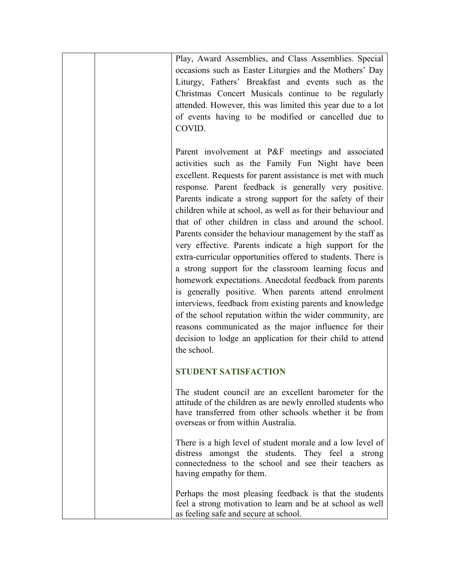| Play, Award Assemblies, and Class Assemblies. Special<br>occasions such as Easter Liturgies and the Mothers' Day<br>Liturgy, Fathers' Breakfast and events such as the<br>Christmas Concert Musicals continue to be regularly<br>attended. However, this was limited this year due to a lot<br>of events having to be modified or cancelled due to<br>COVID.                                                                                                                                                                                                                                                                                                                                                                                                                                                                                                                                                                                                                                                                                          |
|-------------------------------------------------------------------------------------------------------------------------------------------------------------------------------------------------------------------------------------------------------------------------------------------------------------------------------------------------------------------------------------------------------------------------------------------------------------------------------------------------------------------------------------------------------------------------------------------------------------------------------------------------------------------------------------------------------------------------------------------------------------------------------------------------------------------------------------------------------------------------------------------------------------------------------------------------------------------------------------------------------------------------------------------------------|
| Parent involvement at P&F meetings and associated<br>activities such as the Family Fun Night have been<br>excellent. Requests for parent assistance is met with much<br>response. Parent feedback is generally very positive.<br>Parents indicate a strong support for the safety of their<br>children while at school, as well as for their behaviour and<br>that of other children in class and around the school.<br>Parents consider the behaviour management by the staff as<br>very effective. Parents indicate a high support for the<br>extra-curricular opportunities offered to students. There is<br>a strong support for the classroom learning focus and<br>homework expectations. Anecdotal feedback from parents<br>is generally positive. When parents attend enrolment<br>interviews, feedback from existing parents and knowledge<br>of the school reputation within the wider community, are<br>reasons communicated as the major influence for their<br>decision to lodge an application for their child to attend<br>the school. |
| <b>STUDENT SATISFACTION</b>                                                                                                                                                                                                                                                                                                                                                                                                                                                                                                                                                                                                                                                                                                                                                                                                                                                                                                                                                                                                                           |
| The student council are an excellent barometer for the<br>attitude of the children as are newly enrolled students who<br>have transferred from other schools whether it be from<br>overseas or from within Australia.                                                                                                                                                                                                                                                                                                                                                                                                                                                                                                                                                                                                                                                                                                                                                                                                                                 |
| There is a high level of student morale and a low level of<br>distress amongst the students. They feel a strong<br>connectedness to the school and see their teachers as<br>having empathy for them.                                                                                                                                                                                                                                                                                                                                                                                                                                                                                                                                                                                                                                                                                                                                                                                                                                                  |
| Perhaps the most pleasing feedback is that the students<br>feel a strong motivation to learn and be at school as well<br>as feeling safe and secure at school.                                                                                                                                                                                                                                                                                                                                                                                                                                                                                                                                                                                                                                                                                                                                                                                                                                                                                        |